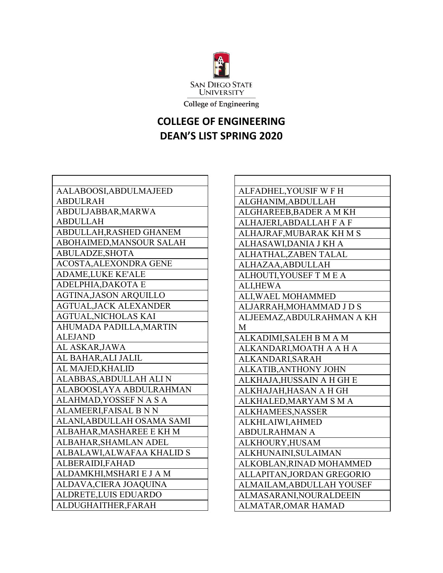

College of Engineering

## **COLLEGE OF ENGINEERING DEAN'S LIST SPRING 2020**

 $\Gamma$ 

| AALABOOSI, ABDULMAJEED        |
|-------------------------------|
| <b>ABDULRAH</b>               |
| ABDULJABBAR, MARWA            |
| <b>ABDULLAH</b>               |
| ABDULLAH, RASHED GHANEM       |
| ABOHAIMED, MANSOUR SALAH      |
| ABULADZE, SHOTA               |
| ACOSTA, ALEXONDRA GENE        |
| <b>ADAME,LUKE KE'ALE</b>      |
| ADELPHIA, DAKOTA E            |
| <b>AGTINA, JASON ARQUILLO</b> |
| <b>AGTUAL, JACK ALEXANDER</b> |
| <b>AGTUAL, NICHOLAS KAI</b>   |
| AHUMADA PADILLA, MARTIN       |
| <b>ALEJAND</b>                |
| AL ASKAR, JAWA                |
| AL BAHAR, ALI JALIL           |
| AL MAJED, KHALID              |
| ALABBAS, ABDULLAH ALI N       |
| ALABOOSI, AYA ABDULRAHMAN     |
| ALAHMAD, YOSSEF N A S A       |
| ALAMEERI, FAISAL B N N        |
| ALANI, ABDULLAH OSAMA SAMI    |
| ALBAHAR, MASHAREE E KH M      |
| ALBAHAR, SHAMLAN ADEL         |
| ALBALAWI, ALWAFAA KHALID S    |
| ALBERAIDI, FAHAD              |
| ALDAMKHI, MSHARI E J A M      |
| ALDAVA, CIERA JOAQUINA        |
| ALDRETE, LUIS EDUARDO         |
| ALDUGHAITHER, FARAH           |

| ALFADHEL, YOUSIF WFH       |
|----------------------------|
| ALGHANIM, ABDULLAH         |
| ALGHAREEB, BADER A M KH    |
| ALHAJERI, ABDALLAH F A F   |
| ALHAJRAF, MUBARAK KH M S   |
| ALHASAWI, DANIA J KH A     |
| ALHATHAL, ZABEN TALAL      |
| ALHAZAA, ABDULLAH          |
| ALHOUTI, YOUSEF TMEA       |
| <b>ALI,HEWA</b>            |
| ALI, WAEL MOHAMMED         |
| ALJARRAH, MOHAMMAD J D S   |
| ALJEEMAZ, ABDULRAHMAN A KH |
| M                          |
| ALKADIMI, SALEH B M A M    |
| ALKANDARI, MOATH A A H A   |
| ALKANDARI, SARAH           |
| ALKATIB, ANTHONY JOHN      |
| ALKHAJA, HUSSAIN A H GH E  |
| ALKHAJAH, HASAN A H GH     |
| ALKHALED, MARYAM SMA       |
| ALKHAMEES, NASSER          |
| ALKHLAIWI, AHMED           |
| <b>ABDULRAHMAN A</b>       |
| ALKHOURY, HUSAM            |
| ALKHUNAINI, SULAIMAN       |
| ALKOBLAN, RINAD MOHAMMED   |
| ALLAPITAN, JORDAN GREGORIO |
| ALMAILAM, ABDULLAH YOUSEF  |
| ALMASARANI, NOURALDEEIN    |
| <b>ALMATAR, OMAR HAMAD</b> |

٦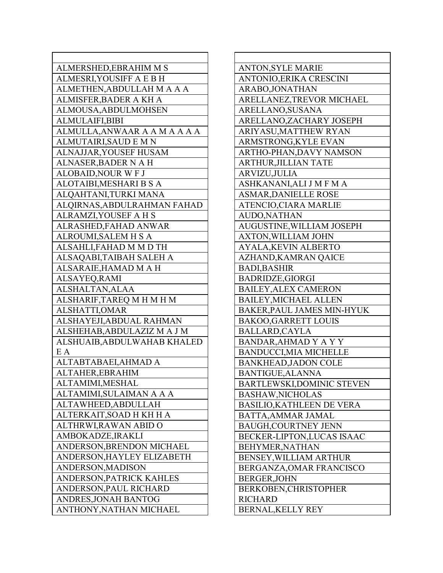| ALMERSHED, EBRAHIM M S        | A              |
|-------------------------------|----------------|
| ALMESRI, YOUSIFF A E B H      | A              |
| ALMETHEN, ABDULLAH M A A A    | A              |
| ALMISFER, BADER A KH A        | A              |
| ALMOUSA, ABDULMOHSEN          | A              |
| <b>ALMULAIFI,BIBI</b>         | A              |
| ALMULLA, ANWAAR A A M A A A A | $\mathsf{A}$   |
| <b>ALMUTAIRI, SAUD E M N</b>  | $\overline{A}$ |
| ALNAJJAR, YOUSEF HUSAM        | A              |
| ALNASER, BADER N A H          | A              |
| <b>ALOBAID, NOUR WFJ</b>      | A              |
| ALOTAIBI, MESHARI B S A       | A              |
| ALQAHTANI,TURKI MANA          | A              |
| ALQIRNAS, ABDULRAHMAN FAHAD   | A              |
| ALRAMZI, YOUSEF A H S         | A              |
| ALRASHED, FAHAD ANWAR         | A              |
| ALROUMI, SALEM H S A          | A              |
| ALSAHLI, FAHAD M M D TH       | A              |
| ALSAQABI, TAIBAH SALEH A      | A              |
| ALSARAIE, HAMAD M A H         | $\mathbf{B}$   |
| ALSAYEQ, RAMI                 | $\mathbf{B}$   |
| ALSHALTAN, ALAA               | $\mathbf{B}$   |
| ALSHARIF, TAREQ M H M H M     | $\mathbf{B}$   |
| ALSHATTI, OMAR                | B              |
| ALSHAYEJI, ABDUAL RAHMAN      | $\mathbf{B}$   |
| ALSHEHAB, ABDULAZIZ MAJM      | $\mathbf{B}$   |
| ALSHUAIB, ABDULWAHAB KHALED   | B              |
| E A                           | $\mathbf{B}$   |
| ALTABTABAEI, AHMAD A          | $\mathbf{B}$   |
| ALTAHER, EBRAHIM              | B              |
| ALTAMIMI, MESHAL              | B              |
| ALTAMIMI,SULAIMAN A A A       | B              |
| ALTAWHEED, ABDULLAH           | B              |
| ALTERKAIT, SOAD H KH H A      | $\mathbf{B}$   |
| ALTHRWI, RAWAN ABID O         | $\mathbf{B}$   |
| AMBOKADZE, IRAKLI             | B              |
| ANDERSON, BRENDON MICHAEL     | B              |
| ANDERSON, HAYLEY ELIZABETH    | B              |
| ANDERSON, MADISON             | B              |
| ANDERSON, PATRICK KAHLES      | B              |
| ANDERSON, PAUL RICHARD        | B              |
| ANDRES, JONAH BANTOG          | R              |
| ANTHONY, NATHAN MICHAEL       | B              |
|                               |                |

| <b>ANTON, SYLE MARIE</b>         |
|----------------------------------|
| ANTONIO, ERIKA CRESCINI          |
| ARABO, JONATHAN                  |
| ARELLANEZ, TREVOR MICHAEL        |
| ARELLANO, SUSANA                 |
| ARELLANO, ZACHARY JOSEPH         |
| ARIYASU, MATTHEW RYAN            |
| ARMSTRONG, KYLE EVAN             |
| ARTHO-PHAN, DAVY NAMSON          |
| <b>ARTHUR, JILLIAN TATE</b>      |
| ARVIZU, JULIA                    |
| ASHKANANI, ALI J M F M A         |
| <b>ASMAR, DANIELLE ROSE</b>      |
| ATENCIO, CIARA MARLIE            |
| <b>AUDO, NATHAN</b>              |
| AUGUSTINE, WILLIAM JOSEPH        |
| <b>AXTON, WILLIAM JOHN</b>       |
| <b>AYALA, KEVIN ALBERTO</b>      |
| AZHAND, KAMRAN QAICE             |
| <b>BADI, BASHIR</b>              |
| <b>BADRIDZE,GIORGI</b>           |
| <b>BAILEY, ALEX CAMERON</b>      |
| <b>BAILEY, MICHAEL ALLEN</b>     |
| BAKER, PAUL JAMES MIN-HYUK       |
| <b>BAKOO,GARRETT LOUIS</b>       |
| <b>BALLARD, CAYLA</b>            |
| BANDAR, AHMAD Y A Y Y            |
| <b>BANDUCCI, MIA MICHELLE</b>    |
| <b>BANKHEAD, JADON COLE</b>      |
| BANTIGUE, ALANNA                 |
| BARTLEWSKI,DOMINIC STEVEN        |
| <b>BASHAW, NICHOLAS</b>          |
| <b>BASILIO, KATHLEEN DE VERA</b> |
| BATTA, AMMAR JAMAL               |
| <b>BAUGH, COURTNEY JENN</b>      |
| BECKER-LIPTON, LUCAS ISAAC       |
| BEHYMER, NATHAN                  |
| BENSEY, WILLIAM ARTHUR           |
| BERGANZA, OMAR FRANCISCO         |
| <b>BERGER, JOHN</b>              |
| BERKOBEN, CHRISTOPHER            |
| <b>RICHARD</b>                   |
| <b>BERNAL, KELLY REY</b>         |

٦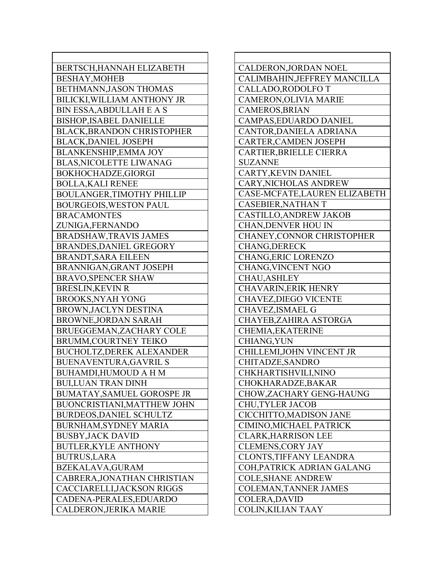| BERTSCH, HANNAH ELIZABETH         |
|-----------------------------------|
| <b>BESHAY, MOHEB</b>              |
| BETHMANN, JASON THOMAS            |
| BILICKI, WILLIAM ANTHONY JR       |
| <b>BIN ESSA, ABDULLAH E A S</b>   |
| <b>BISHOP, ISABEL DANIELLE</b>    |
| <b>BLACK, BRANDON CHRISTOPHER</b> |
| <b>BLACK, DANIEL JOSEPH</b>       |
| <b>BLANKENSHIP, EMMA JOY</b>      |
| <b>BLAS, NICOLETTE LIWANAG</b>    |
| BOKHOCHADZE, GIORGI               |
| <b>BOLLA, KALI RENEE</b>          |
| <b>BOULANGER, TIMOTHY PHILLIP</b> |
| <b>BOURGEOIS, WESTON PAUL</b>     |
| <b>BRACAMONTES</b>                |
| ZUNIGA, FERNANDO                  |
| <b>BRADSHAW, TRAVIS JAMES</b>     |
| BRANDES, DANIEL GREGORY           |
| <b>BRANDT, SARA EILEEN</b>        |
| BRANNIGAN, GRANT JOSEPH           |
| <b>BRAVO, SPENCER SHAW</b>        |
| <b>BRESLIN, KEVIN R</b>           |
| <b>BROOKS, NYAH YONG</b>          |
| BROWN, JACLYN DESTINA             |
| <b>BROWNE, JORDAN SARAH</b>       |
| BRUEGGEMAN, ZACHARY COLE          |
| <b>BRUMM,COURTNEY TEIKO</b>       |
| <b>BUCHOLTZ, DEREK ALEXANDER</b>  |
| <b>BUENAVENTURA, GAVRIL S</b>     |
| <b>BUHAMDI,HUMOUD A H M</b>       |
| <b>BUI,LUAN TRAN DINH</b>         |
| <b>BUMATAY, SAMUEL GOROSPE JR</b> |
| BUONCRISTIANI, MATTHEW JOHN       |
| <b>BURDEOS, DANIEL SCHULTZ</b>    |
| <b>BURNHAM, SYDNEY MARIA</b>      |
| <b>BUSBY, JACK DAVID</b>          |
| <b>BUTLER, KYLE ANTHONY</b>       |
| <b>BUTRUS, LARA</b>               |
| <b>BZEKALAVA, GURAM</b>           |
| CABRERA, JONATHAN CHRISTIAN       |
| CACCIARELLI, JACKSON RIGGS        |
| CADENA-PERALES, EDUARDO           |
| CALDERON, JERIKA MARIE            |
|                                   |

| CALDERON, JORDAN NOEL          |
|--------------------------------|
| CALIMBAHIN, JEFFREY MANCILLA   |
| CALLADO, RODOLFO T             |
| CAMERON, OLIVIA MARIE          |
| CAMEROS, BRIAN                 |
| CAMPAS, EDUARDO DANIEL         |
| <b>CANTOR, DANIELA ADRIANA</b> |
| <b>CARTER, CAMDEN JOSEPH</b>   |
| CARTIER, BRIELLE CIERRA        |
| <b>SUZANNE</b>                 |
| CARTY, KEVIN DANIEL            |
| CARY, NICHOLAS ANDREW          |
| CASE-MCFATE, LAUREN ELIZABETH  |
| <b>CASEBIER, NATHAN T</b>      |
| CASTILLO, ANDREW JAKOB         |
| <b>CHAN, DENVER HOU IN</b>     |
| CHANEY, CONNOR CHRISTOPHER     |
| <b>CHANG, DERECK</b>           |
| CHANG, ERIC LORENZO            |
| <b>CHANG, VINCENT NGO</b>      |
| <b>CHAU, ASHLEY</b>            |
| <b>CHAVARIN, ERIK HENRY</b>    |
| <b>CHAVEZ, DIEGO VICENTE</b>   |
| CHAVEZ, ISMAEL G               |
| CHAYEB, ZAHIRA ASTORGA         |
| CHEMIA, EKATERINE              |
| CHIANG, YUN                    |
| CHILLEMI, JOHN VINCENT JR      |
| CHITADZE, SANDRO               |
| CHKHARTISHVILI, NINO           |
| CHOKHARADZE, BAKAR             |
| CHOW, ZACHARY GENG-HAUNG       |
| <b>CHU, TYLER JACOB</b>        |
| CICCHITTO, MADISON JANE        |
| CIMINO, MICHAEL PATRICK        |
| <b>CLARK, HARRISON LEE</b>     |
| <b>CLEMENS, CORY JAY</b>       |
| <b>CLONTS, TIFFANY LEANDRA</b> |
| COH, PATRICK ADRIAN GALANG     |
| <b>COLE, SHANE ANDREW</b>      |
| <b>COLEMAN, TANNER JAMES</b>   |
| COLERA, DAVID                  |
| COLIN, KILIAN TAAY             |
|                                |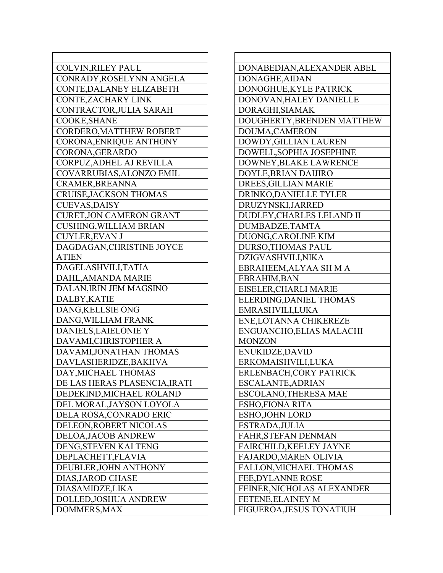| <b>COLVIN, RILEY PAUL</b>       |
|---------------------------------|
| CONRADY, ROSELYNN ANGELA        |
| CONTE, DALANEY ELIZABETH        |
| CONTE, ZACHARY LINK             |
| CONTRACTOR, JULIA SARAH         |
| COOKE, SHANE                    |
| CORDERO, MATTHEW ROBERT         |
| <b>CORONA, ENRIQUE ANTHONY</b>  |
| CORONA, GERARDO                 |
| CORPUZ, ADHEL AJ REVILLA        |
| COVARRUBIAS, ALONZO EMIL        |
| CRAMER, BREANNA                 |
| <b>CRUISE, JACKSON THOMAS</b>   |
| <b>CUEVAS, DAISY</b>            |
| <b>CURET, JON CAMERON GRANT</b> |
| <b>CUSHING, WILLIAM BRIAN</b>   |
| <b>CUYLER, EVAN J</b>           |
| DAGDAGAN, CHRISTINE JOYCE       |
| <b>ATIEN</b>                    |
| DAGELASHVILI, TATIA             |
| DAHL, AMANDA MARIE              |
| DALAN, IRIN JEM MAGSINO         |
| DALBY, KATIE                    |
| DANG, KELLSIE ONG               |
| DANG, WILLIAM FRANK             |
| DANIELS, LAIELONIE Y            |
| DAVAMI, CHRISTOPHER A           |
| DAVAMI, JONATHAN THOMAS         |
| DAVLASHERIDZE, BAKHVA           |
| DAY, MICHAEL THOMAS             |
| DE LAS HERAS PLASENCIA, IRATI   |
| DEDEKIND, MICHAEL ROLAND        |
| DEL MORAL, JAYSON LOYOLA        |
| DELA ROSA, CONRADO ERIC         |
| DELEON, ROBERT NICOLAS          |
| DELOA, JACOB ANDREW             |
| DENG, STEVEN KAI TENG           |
| DEPLACHETT, FLAVIA              |
| DEUBLER, JOHN ANTHONY           |
| DIAS, JAROD CHASE               |
| DIASAMIDZE,LIKA                 |
| DOLLED, JOSHUA ANDREW           |
|                                 |
| DOMMERS, MAX                    |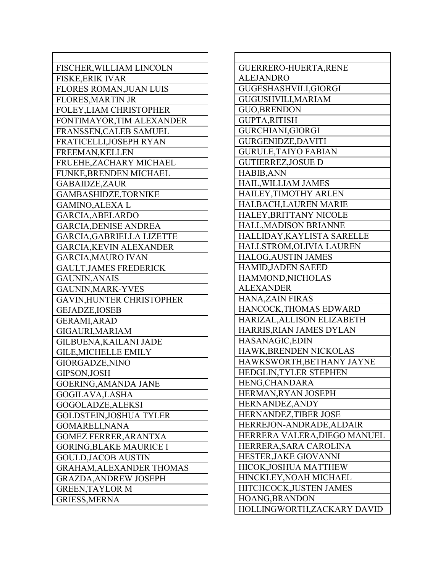| FISCHER, WILLIAM LINCOLN         | Gl             |
|----------------------------------|----------------|
| <b>FISKE, ERIK IVAR</b>          | A <sub>l</sub> |
| <b>FLORES ROMAN, JUAN LUIS</b>   | Gl             |
| <b>FLORES, MARTIN JR</b>         | Gl             |
| FOLEY, LIAM CHRISTOPHER          | Gl             |
| FONTIMAYOR, TIM ALEXANDER        | Gl             |
| FRANSSEN, CALEB SAMUEL           | Gl             |
| FRATICELLI, JOSEPH RYAN          | Gl             |
| FREEMAN, KELLEN                  | Gl             |
| FRUEHE, ZACHARY MICHAEL          | Gl             |
| FUNKE, BRENDEN MICHAEL           | H              |
| <b>GABAIDZE, ZAUR</b>            | H              |
| <b>GAMBASHIDZE, TORNIKE</b>      | H              |
| <b>GAMINO, ALEXA L</b>           | H              |
| GARCIA, ABELARDO                 | H              |
| <b>GARCIA, DENISE ANDREA</b>     | H              |
| <b>GARCIA, GABRIELLA LIZETTE</b> | H              |
| <b>GARCIA, KEVIN ALEXANDER</b>   | H              |
| <b>GARCIA, MAURO IVAN</b>        | H              |
| <b>GAULT, JAMES FREDERICK</b>    | H              |
| <b>GAUNIN, ANAIS</b>             | H              |
| GAUNIN, MARK-YVES                | A <sub>l</sub> |
| <b>GAVIN, HUNTER CHRISTOPHER</b> | H              |
| <b>GEJADZE, IOSEB</b>            | H              |
| <b>GERAMI, ARAD</b>              | H              |
| GIGAURI, MARIAM                  | H              |
| GILBUENA, KAILANI JADE           | H              |
| <b>GILE, MICHELLE EMILY</b>      | H              |
| GIORGADZE, NINO                  | H              |
| GIPSON, JOSH                     | H1             |
| <b>GOERING, AMANDA JANE</b>      | Hl             |
| GOGILAVA, LASHA                  | Hl             |
| GOGOLADZE, ALEKSI                | Hl             |
| <b>GOLDSTEIN, JOSHUA TYLER</b>   | H1             |
| <b>GOMARELI, NANA</b>            | Hl             |
| <b>GOMEZ FERRER, ARANTXA</b>     | H1             |
| <b>GORING, BLAKE MAURICE I</b>   | H              |
| <b>GOULD, JACOB AUSTIN</b>       | H1             |
| <b>GRAHAM, ALEXANDER THOMAS</b>  | Hl             |
| <b>GRAZDA, ANDREW JOSEPH</b>     | H              |
| <b>GREEN, TAYLOR M</b>           | H1             |
| <b>GRIESS, MERNA</b>             | H              |
|                                  |                |

| GUERRERO-HUERTA, RENE         |
|-------------------------------|
| <b>ALEJANDRO</b>              |
| GUGESHASHVILI, GIORGI         |
| GUGUSHVILI, MARIAM            |
| <b>GUO, BRENDON</b>           |
| <b>GUPTA,RITISH</b>           |
| <b>GURCHIANI, GIORGI</b>      |
| <b>GURGENIDZE, DAVITI</b>     |
| <b>GURULE, TAIYO FABIAN</b>   |
| <b>GUTIERREZ, JOSUE D</b>     |
| <b>HABIB, ANN</b>             |
| HAIL, WILLIAM JAMES           |
| HAILEY, TIMOTHY ARLEN         |
| HALBACH, LAUREN MARIE         |
| <b>HALEY, BRITTANY NICOLE</b> |
| HALL, MADISON BRIANNE         |
| HALLIDAY, KAYLISTA SARELLE    |
| HALLSTROM, OLIVIA LAUREN      |
| HALOG, AUSTIN JAMES           |
| <b>HAMID, JADEN SAEED</b>     |
| HAMMOND, NICHOLAS             |
| <b>ALEXANDER</b>              |
| <b>HANA,ZAIN FIRAS</b>        |
| HANCOCK, THOMAS EDWARD        |
| HARIZAL, ALLISON ELIZABETH    |
| HARRIS, RIAN JAMES DYLAN      |
| HASANAGIC, EDIN               |
| HAWK, BRENDEN NICKOLAS        |
| HAWKSWORTH, BETHANY JAYNE     |
| HEDGLIN, TYLER STEPHEN        |
| HENG, CHANDARA                |
| HERMAN, RYAN JOSEPH           |
| HERNANDEZ, ANDY               |
| HERNANDEZ, TIBER JOSE         |
| HERREJON-ANDRADE, ALDAIR      |
| HERRERA VALERA, DIEGO MANUEL  |
| HERRERA, SARA CAROLINA        |
| HESTER, JAKE GIOVANNI         |
| HICOK, JOSHUA MATTHEW         |
| HINCKLEY, NOAH MICHAEL        |
| HITCHCOCK, JUSTEN JAMES       |
| HOANG, BRANDON                |
| HOLLINGWORTH,ZACKARY DAVID    |

٦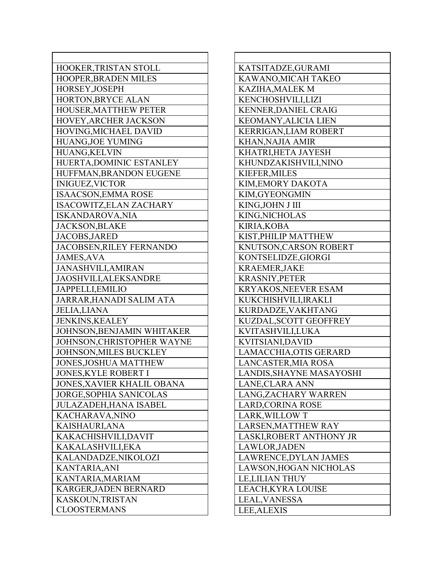| HOOKER, TRISTAN STOLL          |
|--------------------------------|
| HOOPER, BRADEN MILES           |
| HORSEY, JOSEPH                 |
| HORTON, BRYCE ALAN             |
| HOUSER, MATTHEW PETER          |
| HOVEY, ARCHER JACKSON          |
| HOVING, MICHAEL DAVID          |
| <b>HUANG, JOE YUMING</b>       |
| <b>HUANG,KELVIN</b>            |
| HUERTA, DOMINIC ESTANLEY       |
| HUFFMAN, BRANDON EUGENE        |
| <b>INIGUEZ, VICTOR</b>         |
| <b>ISAACSON, EMMA ROSE</b>     |
| <b>ISACOWITZ, ELAN ZACHARY</b> |
| <b>ISKANDAROVA, NIA</b>        |
| <b>JACKSON, BLAKE</b>          |
| <b>JACOBS, JARED</b>           |
| JACOBSEN, RILEY FERNANDO       |
| <b>JAMES, AVA</b>              |
|                                |
| <b>JANASHVILI, AMIRAN</b>      |
| JAOSHVILI, ALEKSANDRE          |
| JAPPELLI, EMILIO               |
| JARRAR, HANADI SALIM ATA       |
| <b>JELIA, LIANA</b>            |
| <b>JENKINS, KEALEY</b>         |
| JOHNSON, BENJAMIN WHITAKER     |
| JOHNSON, CHRISTOPHER WAYNE     |
| JOHNSON, MILES BUCKLEY         |
| <b>JONES, JOSHUA MATTHEW</b>   |
| JONES, KYLE ROBERT I           |
| JONES, XAVIER KHALIL OBANA     |
| <b>JORGE, SOPHIA SANICOLAS</b> |
| <b>JULAZADEH, HANA ISABEL</b>  |
| KACHARAVA, NINO                |
| KAISHAURI, ANA                 |
| KAKACHISHVILI,DAVIT            |
| KAKALASHVILI, EKA              |
| KALANDADZE, NIKOLOZI           |
| <b>KANTARIA, ANI</b>           |
| KANTARIA, MARIAM               |
| <b>KARGER, JADEN BERNARD</b>   |
| KASKOUN, TRISTAN               |
| <b>CLOOSTERMANS</b>            |

| KATSITADZE, GURAMI          |
|-----------------------------|
| KAWANO, MICAH TAKEO         |
| <b>KAZIHA, MALEK M</b>      |
| KENCHOSHVILI,LIZI           |
| <b>KENNER, DANIEL CRAIG</b> |
| <b>KEOMANY, ALICIA LIEN</b> |
| KERRIGAN, LIAM ROBERT       |
| <b>KHAN, NAJIA AMIR</b>     |
| KHATRI, HETA JAYESH         |
| KHUNDZAKISHVILI,NINO        |
| <b>KIEFER, MILES</b>        |
| <b>KIM, EMORY DAKOTA</b>    |
| KIM, GYEONGMIN              |
| KING, JOHN J III            |
| KING, NICHOLAS              |
| <b>KIRIA, KOBA</b>          |
| KIST, PHILIP MATTHEW        |
| KNUTSON, CARSON ROBERT      |
| KONTSELIDZE, GIORGI         |
| <b>KRAEMER, JAKE</b>        |
| <b>KRASNIY, PETER</b>       |
| <b>KRYAKOS, NEEVER ESAM</b> |
| KUKCHISHVILI, IRAKLI        |
| KURDADZE, VAKHTANG          |
| KUZDAL, SCOTT GEOFFREY      |
| KVITASHVILI,LUKA            |
| KVITSIANI,DAVID             |
| LAMACCHIA, OTIS GERARD      |
| <b>LANCASTER, MIA ROSA</b>  |
| LANDIS, SHAYNE MASAYOSHI    |
| LANE, CLARA ANN             |
| LANG, ZACHARY WARREN        |
| <b>LARD, CORINA ROSE</b>    |
| LARK, WILLOW T              |
| LARSEN, MATTHEW RAY         |
| LASKI, ROBERT ANTHONY JR    |
| LAWLOR, JADEN               |
| LAWRENCE, DYLAN JAMES       |
| LAWSON, HOGAN NICHOLAS      |
| <b>LE, LILIAN THUY</b>      |
| LEACH, KYRA LOUISE          |
| LEAL, VANESSA               |
| <b>LEE, ALEXIS</b>          |

Г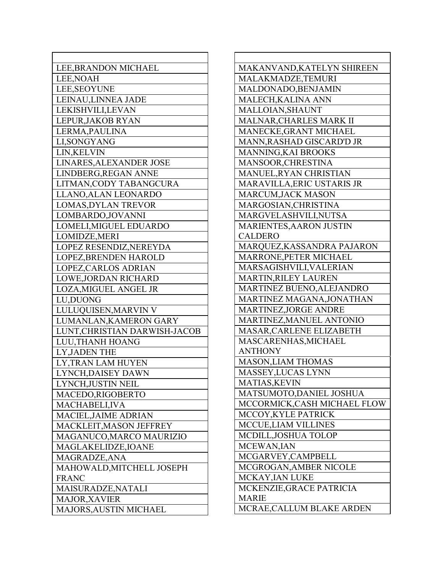| LEE, BRANDON MICHAEL                      |
|-------------------------------------------|
| LEE, NOAH                                 |
| <b>LEE, SEOYUNE</b>                       |
| LEINAU, LINNEA JADE                       |
| LEKISHVILI,LEVAN                          |
| LEPUR, JAKOB RYAN                         |
| LERMA, PAULINA                            |
| LI, SONGYANG                              |
| LIN, KELVIN                               |
| LINARES, ALEXANDER JOSE                   |
| LINDBERG, REGAN ANNE                      |
| LITMAN, CODY TABANGCURA                   |
| LLANO, ALAN LEONARDO                      |
| <b>LOMAS, DYLAN TREVOR</b>                |
| LOMBARDO, JOVANNI                         |
| LOMELI, MIGUEL EDUARDO                    |
| LOMIDZE, MERI                             |
| LOPEZ RESENDIZ, NEREYDA                   |
| LOPEZ, BRENDEN HAROLD                     |
| LOPEZ, CARLOS ADRIAN                      |
| <b>LOWE, JORDAN RICHARD</b>               |
| LOZA, MIGUEL ANGEL JR                     |
| LU, DUONG                                 |
| LULUQUISEN, MARVIN V                      |
| LUMANLAN, KAMERON GARY                    |
| LUNT, CHRISTIAN DARWISH-JACOB             |
| LUU, THANH HOANG                          |
| LY, JADEN THE                             |
| LY, TRAN LAM HUYEN                        |
| LYNCH, DAISEY DAWN                        |
| LYNCH, JUSTIN NEIL                        |
| MACEDO,RIGOBERTO                          |
| MACHABELI, IVA                            |
| MACIEL, JAIME ADRIAN                      |
| MACKLEIT, MASON JEFFREY                   |
| MAGANUCO, MARCO MAURIZIO                  |
|                                           |
| MAGLAKELIDZE, IOANE<br>MAGRADZE, ANA      |
|                                           |
| MAHOWALD, MITCHELL JOSEPH<br><b>FRANC</b> |
|                                           |
| MAISURADZE, NATALI                        |
| <b>MAJOR, XAVIER</b>                      |
| MAJORS, AUSTIN MICHAEL                    |

MAKANVAND,KATELYN SHIREEN MALAKMADZE,TEMURI MALDONADO,BENJAMIN MALECH,KALINA ANN MALLOIAN,SHAUNT MALNAR,CHARLES MARK II MANECKE,GRANT MICHAEL MANN,RASHAD GISCARD'D JR MANNING,KAI BROOKS MANSOOR,CHRESTINA MANUEL,RYAN CHRISTIAN MARAVILLA,ERIC USTARIS JR MARCUM,JACK MASON MARGOSIAN,CHRISTINA MARGVELASHVILI,NUTSA MARIENTES,AARON JUSTIN CALDERO MARQUEZ,KASSANDRA PAJARON MARRONE,PETER MICHAEL MARSAGISHVILI,VALERIAN MARTIN,RILEY LAUREN MARTINEZ BUENO,ALEJANDRO MARTINEZ MAGANA,JONATHAN MARTINEZ,JORGE ANDRE MARTINEZ,MANUEL ANTONIO MASAR,CARLENE ELIZABETH MASCARENHAS,MICHAEL ANTHONY MASON,LIAM THOMAS MASSEY,LUCAS LYNN MATIAS,KEVIN MATSUMOTO,DANIEL JOSHUA MCCORMICK,CASH MICHAEL FLOW MCCOY,KYLE PATRICK MCCUE,LIAM VILLINES MCDILL,JOSHUA TOLOP MCEWAN,IAN MCGARVEY,CAMPBELL MCGROGAN,AMBER NICOLE MCKAY,IAN LUKE MCKENZIE,GRACE PATRICIA MARIE MCRAE,CALLUM BLAKE ARDEN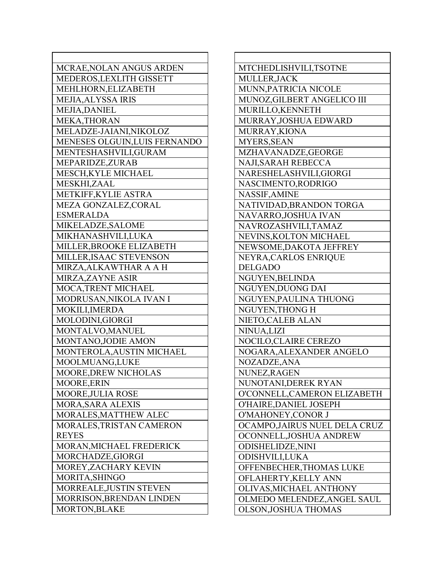| MCRAE, NOLAN ANGUS ARDEN      |
|-------------------------------|
| MEDEROS, LEXLITH GISSETT      |
| MEHLHORN, ELIZABETH           |
| <b>MEJIA, ALYSSA IRIS</b>     |
| <b>MEJIA, DANIEL</b>          |
| MEKA, THORAN                  |
| MELADZE-JAIANI, NIKOLOZ       |
| MENESES OLGUIN, LUIS FERNANDO |
| MENTESHASHVILI, GURAM         |
| MEPARIDZE, ZURAB              |
| MESCH, KYLE MICHAEL           |
| MESKHI,ZAAL                   |
| METKIFF, KYLIE ASTRA          |
| MEZA GONZALEZ, CORAL          |
| <b>ESMERALDA</b>              |
| MIKELADZE, SALOME             |
| MIKHANASHVILI,LUKA            |
| MILLER, BROOKE ELIZABETH      |
| MILLER, ISAAC STEVENSON       |
| MIRZA, ALKAWTHAR A A H        |
| MIRZA, ZAYNE ASIR             |
| MOCA, TRENT MICHAEL           |
| MODRUSAN, NIKOLA IVAN I       |
| MOKILI, IMERDA                |
| MOLODINI, GIORGI              |
| MONTALVO, MANUEL              |
| MONTANO, JODIE AMON           |
| MONTEROLA, AUSTIN MICHAEL     |
| MOOLMUANG, LUKE               |
| MOORE, DREW NICHOLAS          |
| MOORE, ERIN                   |
| MOORE, JULIA ROSE             |
| <b>MORA, SARA ALEXIS</b>      |
| MORALES, MATTHEW ALEC         |
| MORALES, TRISTAN CAMERON      |
| <b>REYES</b>                  |
| MORAN, MICHAEL FREDERICK      |
| MORCHADZE, GIORGI             |
| MOREY, ZACHARY KEVIN          |
| MORITA, SHINGO                |
| MORREALE, JUSTIN STEVEN       |
| MORRISON, BRENDAN LINDEN      |
| <b>MORTON, BLAKE</b>          |
|                               |

MTCHEDLISHVILI,TSOTNE MULLER,JACK MUNN,PATRICIA NICOLE MUNOZ,GILBERT ANGELICO III MURILLO,KENNETH MURRAY,JOSHUA EDWARD MURRAY,KIONA MYERS,SEAN MZHAVANADZE,GEORGE NAJI,SARAH REBECCA NARESHELASHVILI,GIORGI NASCIMENTO,RODRIGO NASSIF,AMINE NATIVIDAD,BRANDON TORGA NAVARRO,JOSHUA IVAN NAVROZASHVILI,TAMAZ NEVINS,KOLTON MICHAEL NEWSOME,DAKOTA JEFFREY NEYRA,CARLOS ENRIQUE DELGADO NGUYEN,BELINDA NGUYEN,DUONG DAI NGUYEN,PAULINA THUONG NGUYEN,THONG H NIETO,CALEB ALAN NINUA,LIZI NOCILO,CLAIRE CEREZO NOGARA,ALEXANDER ANGELO NOZADZE,ANA NUNEZ,RAGEN NUNOTANI,DEREK RYAN O'CONNELL,CAMERON ELIZABETH O'HAIRE,DANIEL JOSEPH O'MAHONEY,CONOR J OCAMPO,JAIRUS NUEL DELA CRUZ OCONNELL,JOSHUA ANDREW ODISHELIDZE,NINI ODISHVILI,LUKA OFFENBECHER,THOMAS LUKE OFLAHERTY,KELLY ANN OLIVAS,MICHAEL ANTHONY OLMEDO MELENDEZ,ANGEL SAUL OLSON,JOSHUA THOMAS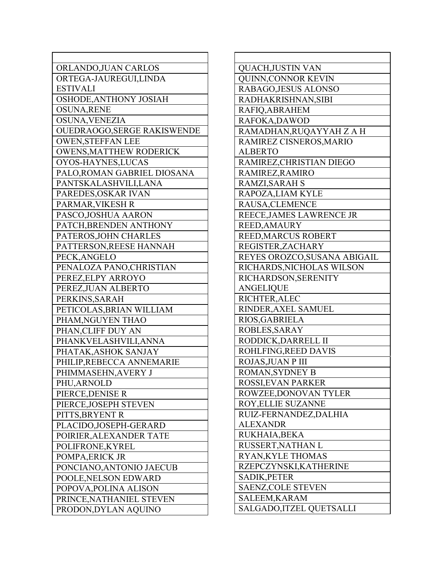| ORLANDO, JUAN CARLOS           |
|--------------------------------|
| ORTEGA-JAUREGUI,LINDA          |
| <b>ESTIVALI</b>                |
| OSHODE, ANTHONY JOSIAH         |
| <b>OSUNA, RENE</b>             |
| OSUNA, VENEZIA                 |
| OUEDRAOGO, SERGE RAKISWENDE    |
| <b>OWEN, STEFFAN LEE</b>       |
| <b>OWENS, MATTHEW RODERICK</b> |
| OYOS-HAYNES, LUCAS             |
| PALO, ROMAN GABRIEL DIOSANA    |
| PANTSKALASHVILI,LANA           |
| PAREDES, OSKAR IVAN            |
| PARMAR, VIKESH R               |
| PASCO, JOSHUA AARON            |
| PATCH, BRENDEN ANTHONY         |
| PATEROS, JOHN CHARLES          |
| PATTERSON, REESE HANNAH        |
| PECK, ANGELO                   |
| PENALOZA PANO, CHRISTIAN       |
| PEREZ, ELPY ARROYO             |
| PEREZ, JUAN ALBERTO            |
| PERKINS, SARAH                 |
| PETICOLAS, BRIAN WILLIAM       |
| PHAM, NGUYEN THAO              |
| PHAN, CLIFF DUY AN             |
| PHANKVELASHVILI, ANNA          |
| PHATAK, ASHOK SANJAY           |
| PHILIP, REBECCA ANNEMARIE      |
| PHIMMASEHN, AVERY J            |
| PHU,ARNOLD                     |
| PIERCE, DENISE R               |
| PIERCE, JOSEPH STEVEN          |
| PITTS, BRYENT R                |
| PLACIDO,JOSEPH-GERARD          |
| POIRIER, ALEXANDER TATE        |
| POLIFRONE, KYREL               |
| POMPA, ERICK JR                |
| PONCIANO, ANTONIO JAECUB       |
| POOLE, NELSON EDWARD           |
| POPOVA, POLINA ALISON          |
| PRINCE, NATHANIEL STEVEN       |
|                                |
| PRODON, DYLAN AQUINO           |

| QUACH, JUSTIN VAN            |
|------------------------------|
| QUINN, CONNOR KEVIN          |
| RABAGO, JESUS ALONSO         |
| RADHAKRISHNAN, SIBI          |
| RAFIQ, ABRAHEM               |
| RAFOKA, DAWOD                |
| RAMADHAN, RUQAYYAH Z A H     |
| RAMIREZ CISNEROS, MARIO      |
| <b>ALBERTO</b>               |
| RAMIREZ, CHRISTIAN DIEGO     |
| RAMIREZ, RAMIRO              |
| RAMZI, SARAH S               |
| RAPOZA, LIAM KYLE            |
| RAUSA, CLEMENCE              |
| REECE, JAMES LAWRENCE JR     |
| <b>REED, AMAURY</b>          |
| REED, MARCUS ROBERT          |
| REGISTER, ZACHARY            |
| REYES OROZCO, SUSANA ABIGAIL |
| RICHARDS, NICHOLAS WILSON    |
| RICHARDSON, SERENITY         |
| <b>ANGELIQUE</b>             |
| <b>RICHTER, ALEC</b>         |
| RINDER, AXEL SAMUEL          |
| RIOS, GABRIELA               |
| ROBLES, SARAY                |
| RODDICK, DARRELL II          |
| ROHLFING, REED DAVIS         |
| ROJAS, JUAN P III            |
| ROMAN, SYDNEY B              |
| ROSSI,EVAN PARKER            |
| ROWZEE, DONOVAN TYLER        |
| ROY, ELLIE SUZANNE           |
| RUIZ-FERNANDEZ, DALHIA       |
| <b>ALEXANDR</b>              |
| RUKHAIA, BEKA                |
| RUSSERT, NATHAN L            |
| <b>RYAN, KYLE THOMAS</b>     |
| RZEPCZYNSKI, KATHERINE       |
| SADIK, PETER                 |
| <b>SAENZ, COLE STEVEN</b>    |
| SALEEM, KARAM                |
| SALGADO, ITZEL QUETSALLI     |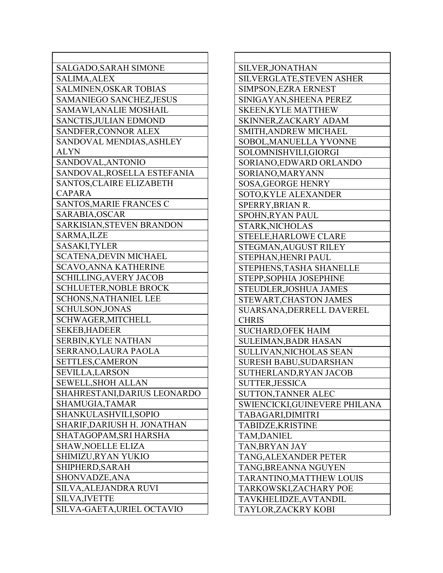| SALGADO, SARAH SIMONE           |
|---------------------------------|
| <b>SALIMA, ALEX</b>             |
| SALMINEN, OSKAR TOBIAS          |
| <b>SAMANIEGO SANCHEZ, JESUS</b> |
| SAMAWI, ANALIE MOSHAIL          |
| <b>SANCTIS, JULIAN EDMOND</b>   |
| SANDFER, CONNOR ALEX            |
| SANDOVAL MENDIAS, ASHLEY        |
| <b>ALYN</b>                     |
| SANDOVAL, ANTONIO               |
| SANDOVAL, ROSELLA ESTEFANIA     |
| SANTOS, CLAIRE ELIZABETH        |
| <b>CAPARA</b>                   |
| SANTOS, MARIE FRANCES C         |
| SARABIA, OSCAR                  |
| SARKISIAN, STEVEN BRANDON       |
| SARMA, ILZE                     |
| SASAKI, TYLER                   |
| <b>SCATENA, DEVIN MICHAEL</b>   |
| <b>SCAVO, ANNA KATHERINE</b>    |
| <b>SCHILLING, AVERY JACOB</b>   |
| <b>SCHLUETER, NOBLE BROCK</b>   |
| <b>SCHONS, NATHANIEL LEE</b>    |
| SCHULSON, JONAS                 |
| SCHWAGER, MITCHELL              |
| <b>SEKEB, HADEER</b>            |
| <b>SERBIN, KYLE NATHAN</b>      |
| SERRANO, LAURA PAOLA            |
| SETTLES, CAMERON                |
| <b>SEVILLA, LARSON</b>          |
| SEWELL, SHOH ALLAN              |
| SHAHRESTANI,DARIUS LEONARDO     |
| SHAMUGIA, TAMAR                 |
| SHANKULASHVILI,SOPIO            |
| SHARIF,DARIUSH H. JONATHAN      |
| SHATAGOPAM, SRI HARSHA          |
| SHAW,NOELLE ELIZA               |
| SHIMIZU,RYAN YUKIO              |
| SHIPHERD, SARAH                 |
| SHONVADZE, ANA                  |
| SILVA,ALEJANDRA RUVI            |
| <b>SILVA, IVETTE</b>            |
| SILVA-GAETA, URIEL OCTAVIO      |

| SILVER, JONATHAN              |
|-------------------------------|
| SILVERGLATE, STEVEN ASHER     |
| SIMPSON, EZRA ERNEST          |
| SINIGAYAN, SHEENA PEREZ       |
| <b>SKEEN, KYLE MATTHEW</b>    |
| SKINNER, ZACKARY ADAM         |
| <b>SMITH, ANDREW MICHAEL</b>  |
| SOBOL, MANUELLA YVONNE        |
| SOLOMNISHVILI, GIORGI         |
| SORIANO, EDWARD ORLANDO       |
| SORIANO, MARYANN              |
| <b>SOSA, GEORGE HENRY</b>     |
| SOTO, KYLE ALEXANDER          |
| SPERRY, BRIAN R.              |
| <b>SPOHN, RYAN PAUL</b>       |
| STARK, NICHOLAS               |
| <b>STEELE, HARLOWE CLARE</b>  |
| STEGMAN, AUGUST RILEY         |
| STEPHAN, HENRI PAUL           |
| STEPHENS, TASHA SHANELLE      |
| STEPP, SOPHIA JOSEPHINE       |
| STEUDLER, JOSHUA JAMES        |
| STEWART, CHASTON JAMES        |
| SUARSANA, DERRELL DAVEREL     |
| <b>CHRIS</b>                  |
| <b>SUCHARD, OFEK HAIM</b>     |
| <b>SULEIMAN, BADR HASAN</b>   |
| SULLIVAN, NICHOLAS SEAN       |
| <b>SURESH BABU, SUDARSHAN</b> |
| SUTHERLAND, RYAN JACOB        |
| <b>SUTTER, JESSICA</b>        |
| <b>SUTTON, TANNER ALEC</b>    |
| SWIENCICKI,GUINEVERE PHILANA  |
| TABAGARI,DIMITRI              |
| TABIDZE, KRISTINE             |
| TAM,DANIEL                    |
| TAN, BRYAN JAY                |
| TANG, ALEXANDER PETER         |
| TANG, BREANNA NGUYEN          |
| TARANTINO, MATTHEW LOUIS      |
| TARKOWSKI, ZACHARY POE        |
| TAVKHELIDZE, AVTANDIL         |
| TAYLOR,ZACKRY KOBI            |
|                               |

Г